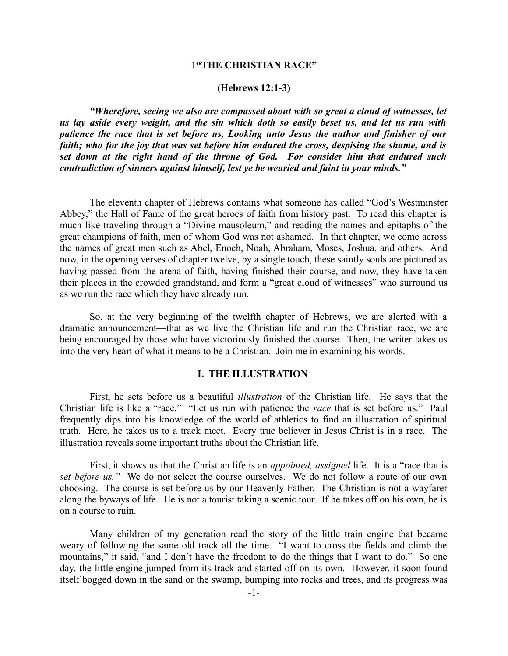# 1**"THE CHRISTIAN RACE"**

#### **(Hebrews 12:1-3)**

*"Wherefore, seeing we also are compassed about with so great a cloud of witnesses, let us lay aside every weight, and the sin which doth so easily beset us, and let us run with patience the race that is set before us, Looking unto Jesus the author and finisher of our faith; who for the joy that was set before him endured the cross, despising the shame, and is set down at the right hand of the throne of God. For consider him that endured such contradiction of sinners against himself, lest ye be wearied and faint in your minds."*

The eleventh chapter of Hebrews contains what someone has called "God's Westminster Abbey," the Hall of Fame of the great heroes of faith from history past. To read this chapter is much like traveling through a "Divine mausoleum," and reading the names and epitaphs of the great champions of faith, men of whom God was not ashamed. In that chapter, we come across the names of great men such as Abel, Enoch, Noah, Abraham, Moses, Joshua, and others. And now, in the opening verses of chapter twelve, by a single touch, these saintly souls are pictured as having passed from the arena of faith, having finished their course, and now, they have taken their places in the crowded grandstand, and form a "great cloud of witnesses" who surround us as we run the race which they have already run.

So, at the very beginning of the twelfth chapter of Hebrews, we are alerted with a dramatic announcement—that as we live the Christian life and run the Christian race, we are being encouraged by those who have victoriously finished the course. Then, the writer takes us into the very heart of what it means to be a Christian. Join me in examining his words.

## **I. THE ILLUSTRATION**

First, he sets before us a beautiful *illustration* of the Christian life. He says that the Christian life is like a "race." "Let us run with patience the *race* that is set before us." Paul frequently dips into his knowledge of the world of athletics to find an illustration of spiritual truth. Here, he takes us to a track meet. Every true believer in Jesus Christ is in a race. The illustration reveals some important truths about the Christian life.

First, it shows us that the Christian life is an *appointed, assigned* life. It is a "race that is *set before us."* We do not select the course ourselves. We do not follow a route of our own choosing. The course is set before us by our Heavenly Father. The Christian is not a wayfarer along the byways of life. He is not a tourist taking a scenic tour. If he takes off on his own, he is on a course to ruin.

Many children of my generation read the story of the little train engine that became weary of following the same old track all the time. "I want to cross the fields and climb the mountains," it said, "and I don't have the freedom to do the things that I want to do." So one day, the little engine jumped from its track and started off on its own. However, it soon found itself bogged down in the sand or the swamp, bumping into rocks and trees, and its progress was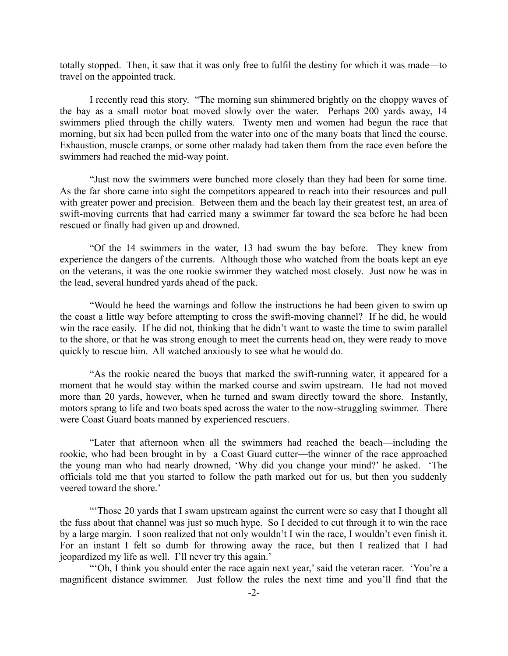totally stopped. Then, it saw that it was only free to fulfil the destiny for which it was made—to travel on the appointed track.

I recently read this story. "The morning sun shimmered brightly on the choppy waves of the bay as a small motor boat moved slowly over the water. Perhaps 200 yards away, 14 swimmers plied through the chilly waters. Twenty men and women had begun the race that morning, but six had been pulled from the water into one of the many boats that lined the course. Exhaustion, muscle cramps, or some other malady had taken them from the race even before the swimmers had reached the mid-way point.

"Just now the swimmers were bunched more closely than they had been for some time. As the far shore came into sight the competitors appeared to reach into their resources and pull with greater power and precision. Between them and the beach lay their greatest test, an area of swift-moving currents that had carried many a swimmer far toward the sea before he had been rescued or finally had given up and drowned.

"Of the 14 swimmers in the water, 13 had swum the bay before. They knew from experience the dangers of the currents. Although those who watched from the boats kept an eye on the veterans, it was the one rookie swimmer they watched most closely. Just now he was in the lead, several hundred yards ahead of the pack.

"Would he heed the warnings and follow the instructions he had been given to swim up the coast a little way before attempting to cross the swift-moving channel? If he did, he would win the race easily. If he did not, thinking that he didn't want to waste the time to swim parallel to the shore, or that he was strong enough to meet the currents head on, they were ready to move quickly to rescue him. All watched anxiously to see what he would do.

"As the rookie neared the buoys that marked the swift-running water, it appeared for a moment that he would stay within the marked course and swim upstream. He had not moved more than 20 yards, however, when he turned and swam directly toward the shore. Instantly, motors sprang to life and two boats sped across the water to the now-struggling swimmer. There were Coast Guard boats manned by experienced rescuers.

"Later that afternoon when all the swimmers had reached the beach—including the rookie, who had been brought in by a Coast Guard cutter—the winner of the race approached the young man who had nearly drowned, 'Why did you change your mind?' he asked. 'The officials told me that you started to follow the path marked out for us, but then you suddenly veered toward the shore.'

"'Those 20 yards that I swam upstream against the current were so easy that I thought all the fuss about that channel was just so much hype. So I decided to cut through it to win the race by a large margin. I soon realized that not only wouldn't I win the race, I wouldn't even finish it. For an instant I felt so dumb for throwing away the race, but then I realized that I had jeopardized my life as well. I'll never try this again.'

"'Oh, I think you should enter the race again next year,' said the veteran racer. 'You're a magnificent distance swimmer. Just follow the rules the next time and you'll find that the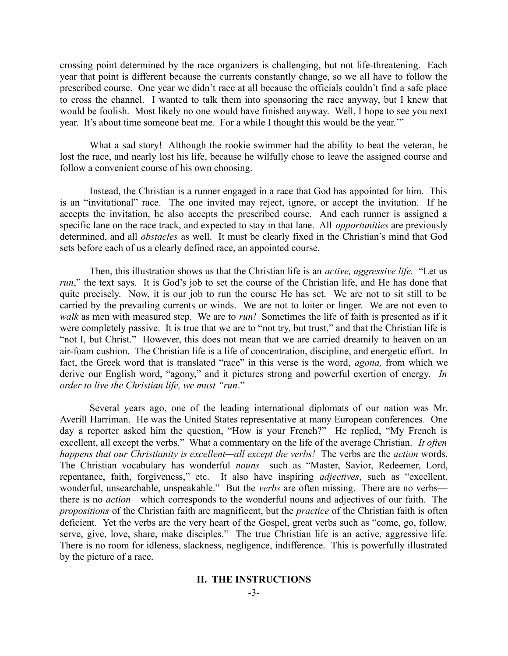crossing point determined by the race organizers is challenging, but not life-threatening. Each year that point is different because the currents constantly change, so we all have to follow the prescribed course. One year we didn't race at all because the officials couldn't find a safe place to cross the channel. I wanted to talk them into sponsoring the race anyway, but I knew that would be foolish. Most likely no one would have finished anyway. Well, I hope to see you next year. It's about time someone beat me. For a while I thought this would be the year.'"

What a sad story! Although the rookie swimmer had the ability to beat the veteran, he lost the race, and nearly lost his life, because he wilfully chose to leave the assigned course and follow a convenient course of his own choosing.

Instead, the Christian is a runner engaged in a race that God has appointed for him. This is an "invitational" race. The one invited may reject, ignore, or accept the invitation. If he accepts the invitation, he also accepts the prescribed course. And each runner is assigned a specific lane on the race track, and expected to stay in that lane. All *opportunities* are previously determined, and all *obstacles* as well. It must be clearly fixed in the Christian's mind that God sets before each of us a clearly defined race, an appointed course.

Then, this illustration shows us that the Christian life is an *active, aggressive life.* "Let us *run*," the text says. It is God's job to set the course of the Christian life, and He has done that quite precisely. Now, it is our job to run the course He has set. We are not to sit still to be carried by the prevailing currents or winds. We are not to loiter or linger. We are not even to *walk* as men with measured step. We are to *run!* Sometimes the life of faith is presented as if it were completely passive. It is true that we are to "not try, but trust," and that the Christian life is "not I, but Christ." However, this does not mean that we are carried dreamily to heaven on an air-foam cushion. The Christian life is a life of concentration, discipline, and energetic effort. In fact, the Greek word that is translated "race" in this verse is the word, *agona,* from which we derive our English word, "agony," and it pictures strong and powerful exertion of energy. *In order to live the Christian life, we must "run*."

Several years ago, one of the leading international diplomats of our nation was Mr. Averill Harriman. He was the United States representative at many European conferences. One day a reporter asked him the question, "How is your French?" He replied, "My French is excellent, all except the verbs." What a commentary on the life of the average Christian. *It often happens that our Christianity is excellent—all except the verbs!* The verbs are the *action* words. The Christian vocabulary has wonderful *nouns*—such as "Master, Savior, Redeemer, Lord, repentance, faith, forgiveness," etc. It also have inspiring *adjectives*, such as "excellent, wonderful, unsearchable, unspeakable." But the *verbs* are often missing. There are no verbs there is no *action*—which corresponds to the wonderful nouns and adjectives of our faith. The *propositions* of the Christian faith are magnificent, but the *practice* of the Christian faith is often deficient. Yet the verbs are the very heart of the Gospel, great verbs such as "come, go, follow, serve, give, love, share, make disciples." The true Christian life is an active, aggressive life. There is no room for idleness, slackness, negligence, indifference. This is powerfully illustrated by the picture of a race.

# **II. THE INSTRUCTIONS**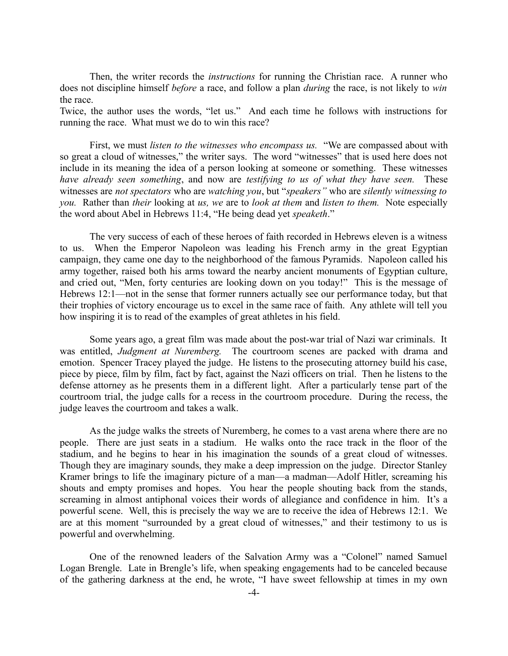Then, the writer records the *instructions* for running the Christian race. A runner who does not discipline himself *before* a race, and follow a plan *during* the race, is not likely to *win* the race.

Twice, the author uses the words, "let us." And each time he follows with instructions for running the race. What must we do to win this race?

First, we must *listen to the witnesses who encompass us.* "We are compassed about with so great a cloud of witnesses," the writer says. The word "witnesses" that is used here does not include in its meaning the idea of a person looking at someone or something. These witnesses *have already seen something*, and now are *testifying to us of what they have seen.* These witnesses are *not spectators* who are *watching you*, but "*speakers"* who are *silently witnessing to you.* Rather than *their* looking at *us, we* are to *look at them* and *listen to them.* Note especially the word about Abel in Hebrews 11:4, "He being dead yet *speaketh*."

The very success of each of these heroes of faith recorded in Hebrews eleven is a witness to us. When the Emperor Napoleon was leading his French army in the great Egyptian campaign, they came one day to the neighborhood of the famous Pyramids. Napoleon called his army together, raised both his arms toward the nearby ancient monuments of Egyptian culture, and cried out, "Men, forty centuries are looking down on you today!" This is the message of Hebrews 12:1—not in the sense that former runners actually see our performance today, but that their trophies of victory encourage us to excel in the same race of faith. Any athlete will tell you how inspiring it is to read of the examples of great athletes in his field.

Some years ago, a great film was made about the post-war trial of Nazi war criminals. It was entitled, *Judgment at Nuremberg.* The courtroom scenes are packed with drama and emotion. Spencer Tracey played the judge. He listens to the prosecuting attorney build his case, piece by piece, film by film, fact by fact, against the Nazi officers on trial. Then he listens to the defense attorney as he presents them in a different light. After a particularly tense part of the courtroom trial, the judge calls for a recess in the courtroom procedure. During the recess, the judge leaves the courtroom and takes a walk.

As the judge walks the streets of Nuremberg, he comes to a vast arena where there are no people. There are just seats in a stadium. He walks onto the race track in the floor of the stadium, and he begins to hear in his imagination the sounds of a great cloud of witnesses. Though they are imaginary sounds, they make a deep impression on the judge. Director Stanley Kramer brings to life the imaginary picture of a man—a madman—Adolf Hitler, screaming his shouts and empty promises and hopes. You hear the people shouting back from the stands, screaming in almost antiphonal voices their words of allegiance and confidence in him. It's a powerful scene. Well, this is precisely the way we are to receive the idea of Hebrews 12:1. We are at this moment "surrounded by a great cloud of witnesses," and their testimony to us is powerful and overwhelming.

One of the renowned leaders of the Salvation Army was a "Colonel" named Samuel Logan Brengle. Late in Brengle's life, when speaking engagements had to be canceled because of the gathering darkness at the end, he wrote, "I have sweet fellowship at times in my own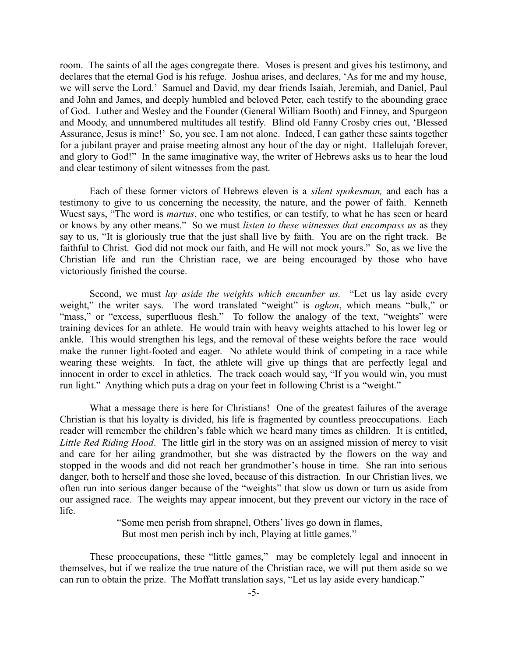room. The saints of all the ages congregate there. Moses is present and gives his testimony, and declares that the eternal God is his refuge. Joshua arises, and declares, 'As for me and my house, we will serve the Lord.' Samuel and David, my dear friends Isaiah, Jeremiah, and Daniel, Paul and John and James, and deeply humbled and beloved Peter, each testify to the abounding grace of God. Luther and Wesley and the Founder (General William Booth) and Finney, and Spurgeon and Moody, and unnumbered multitudes all testify. Blind old Fanny Crosby cries out, 'Blessed Assurance, Jesus is mine!' So, you see, I am not alone. Indeed, I can gather these saints together for a jubilant prayer and praise meeting almost any hour of the day or night. Hallelujah forever, and glory to God!" In the same imaginative way, the writer of Hebrews asks us to hear the loud and clear testimony of silent witnesses from the past.

Each of these former victors of Hebrews eleven is a *silent spokesman,* and each has a testimony to give to us concerning the necessity, the nature, and the power of faith. Kenneth Wuest says, "The word is *martus*, one who testifies, or can testify, to what he has seen or heard or knows by any other means." So we must *listen to these witnesses that encompass us* as they say to us, "It is gloriously true that the just shall live by faith. You are on the right track. Be faithful to Christ. God did not mock our faith, and He will not mock yours." So, as we live the Christian life and run the Christian race, we are being encouraged by those who have victoriously finished the course.

Second, we must *lay aside the weights which encumber us.* "Let us lay aside every weight," the writer says. The word translated "weight" is *ogkon*, which means "bulk," or "mass," or "excess, superfluous flesh." To follow the analogy of the text, "weights" were training devices for an athlete. He would train with heavy weights attached to his lower leg or ankle. This would strengthen his legs, and the removal of these weights before the race would make the runner light-footed and eager. No athlete would think of competing in a race while wearing these weights. In fact, the athlete will give up things that are perfectly legal and innocent in order to excel in athletics. The track coach would say, "If you would win, you must run light." Anything which puts a drag on your feet in following Christ is a "weight."

What a message there is here for Christians! One of the greatest failures of the average Christian is that his loyalty is divided, his life is fragmented by countless preoccupations. Each reader will remember the children's fable which we heard many times as children. It is entitled, *Little Red Riding Hood*. The little girl in the story was on an assigned mission of mercy to visit and care for her ailing grandmother, but she was distracted by the flowers on the way and stopped in the woods and did not reach her grandmother's house in time. She ran into serious danger, both to herself and those she loved, because of this distraction. In our Christian lives, we often run into serious danger because of the "weights" that slow us down or turn us aside from our assigned race. The weights may appear innocent, but they prevent our victory in the race of life.

> "Some men perish from shrapnel, Others' lives go down in flames, But most men perish inch by inch, Playing at little games."

These preoccupations, these "little games," may be completely legal and innocent in themselves, but if we realize the true nature of the Christian race, we will put them aside so we can run to obtain the prize. The Moffatt translation says, "Let us lay aside every handicap."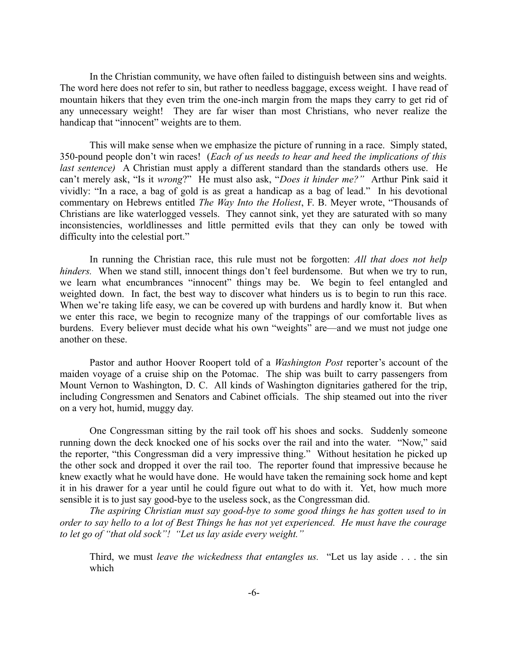In the Christian community, we have often failed to distinguish between sins and weights. The word here does not refer to sin, but rather to needless baggage, excess weight. I have read of mountain hikers that they even trim the one-inch margin from the maps they carry to get rid of any unnecessary weight! They are far wiser than most Christians, who never realize the handicap that "innocent" weights are to them.

This will make sense when we emphasize the picture of running in a race. Simply stated, 350-pound people don't win races! (*Each of us needs to hear and heed the implications of this last sentence*) A Christian must apply a different standard than the standards others use. He can't merely ask, "Is it *wrong*?" He must also ask, "*Does it hinder me?"* Arthur Pink said it vividly: "In a race, a bag of gold is as great a handicap as a bag of lead." In his devotional commentary on Hebrews entitled *The Way Into the Holiest*, F. B. Meyer wrote, "Thousands of Christians are like waterlogged vessels. They cannot sink, yet they are saturated with so many inconsistencies, worldlinesses and little permitted evils that they can only be towed with difficulty into the celestial port."

In running the Christian race, this rule must not be forgotten: *All that does not help hinders.* When we stand still, innocent things don't feel burdensome. But when we try to run, we learn what encumbrances "innocent" things may be. We begin to feel entangled and weighted down. In fact, the best way to discover what hinders us is to begin to run this race. When we're taking life easy, we can be covered up with burdens and hardly know it. But when we enter this race, we begin to recognize many of the trappings of our comfortable lives as burdens. Every believer must decide what his own "weights" are—and we must not judge one another on these.

Pastor and author Hoover Roopert told of a *Washington Post* reporter's account of the maiden voyage of a cruise ship on the Potomac. The ship was built to carry passengers from Mount Vernon to Washington, D. C. All kinds of Washington dignitaries gathered for the trip, including Congressmen and Senators and Cabinet officials. The ship steamed out into the river on a very hot, humid, muggy day.

One Congressman sitting by the rail took off his shoes and socks. Suddenly someone running down the deck knocked one of his socks over the rail and into the water. "Now," said the reporter, "this Congressman did a very impressive thing." Without hesitation he picked up the other sock and dropped it over the rail too. The reporter found that impressive because he knew exactly what he would have done. He would have taken the remaining sock home and kept it in his drawer for a year until he could figure out what to do with it. Yet, how much more sensible it is to just say good-bye to the useless sock, as the Congressman did.

*The aspiring Christian must say good-bye to some good things he has gotten used to in order to say hello to a lot of Best Things he has not yet experienced. He must have the courage to let go of "that old sock"! "Let us lay aside every weight."*

Third, we must *leave the wickedness that entangles us.* "Let us lay aside . . . the sin which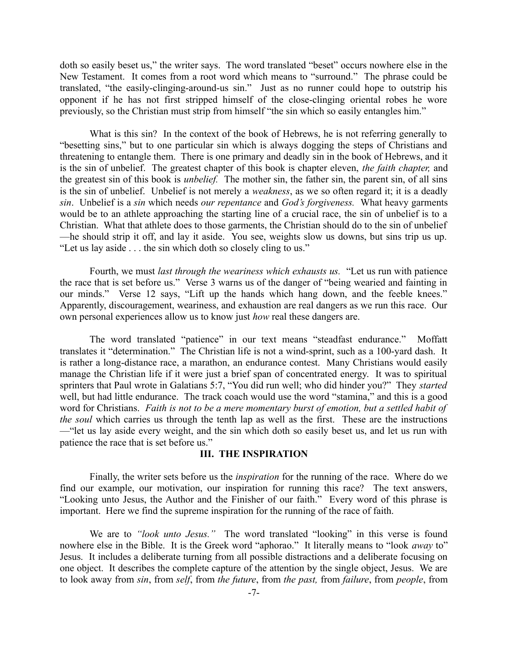doth so easily beset us," the writer says. The word translated "beset" occurs nowhere else in the New Testament. It comes from a root word which means to "surround." The phrase could be translated, "the easily-clinging-around-us sin." Just as no runner could hope to outstrip his opponent if he has not first stripped himself of the close-clinging oriental robes he wore previously, so the Christian must strip from himself "the sin which so easily entangles him."

What is this sin? In the context of the book of Hebrews, he is not referring generally to "besetting sins," but to one particular sin which is always dogging the steps of Christians and threatening to entangle them. There is one primary and deadly sin in the book of Hebrews, and it is the sin of unbelief. The greatest chapter of this book is chapter eleven, *the faith chapter,* and the greatest sin of this book is *unbelief.* The mother sin, the father sin, the parent sin, of all sins is the sin of unbelief. Unbelief is not merely a *weakness*, as we so often regard it; it is a deadly *sin*. Unbelief is a *sin* which needs *our repentance* and *God's forgiveness.* What heavy garments would be to an athlete approaching the starting line of a crucial race, the sin of unbelief is to a Christian. What that athlete does to those garments, the Christian should do to the sin of unbelief —he should strip it off, and lay it aside. You see, weights slow us downs, but sins trip us up. "Let us lay aside . . . the sin which doth so closely cling to us."

Fourth, we must *last through the weariness which exhausts us.* "Let us run with patience the race that is set before us." Verse 3 warns us of the danger of "being wearied and fainting in our minds." Verse 12 says, "Lift up the hands which hang down, and the feeble knees." Apparently, discouragement, weariness, and exhaustion are real dangers as we run this race. Our own personal experiences allow us to know just *how* real these dangers are.

The word translated "patience" in our text means "steadfast endurance." Moffatt translates it "determination." The Christian life is not a wind-sprint, such as a 100-yard dash. It is rather a long-distance race, a marathon, an endurance contest. Many Christians would easily manage the Christian life if it were just a brief span of concentrated energy. It was to spiritual sprinters that Paul wrote in Galatians 5:7, "You did run well; who did hinder you?" They *started* well, but had little endurance. The track coach would use the word "stamina," and this is a good word for Christians. *Faith is not to be a mere momentary burst of emotion, but a settled habit of the soul* which carries us through the tenth lap as well as the first. These are the instructions —"let us lay aside every weight, and the sin which doth so easily beset us, and let us run with patience the race that is set before us."

### **III. THE INSPIRATION**

Finally, the writer sets before us the *inspiration* for the running of the race. Where do we find our example, our motivation, our inspiration for running this race? The text answers, "Looking unto Jesus, the Author and the Finisher of our faith." Every word of this phrase is important. Here we find the supreme inspiration for the running of the race of faith.

We are to *"look unto Jesus."* The word translated "looking" in this verse is found nowhere else in the Bible. It is the Greek word "aphorao." It literally means to "look *away* to" Jesus. It includes a deliberate turning from all possible distractions and a deliberate focusing on one object. It describes the complete capture of the attention by the single object, Jesus. We are to look away from *sin*, from *self*, from *the future*, from *the past,* from *failure*, from *people*, from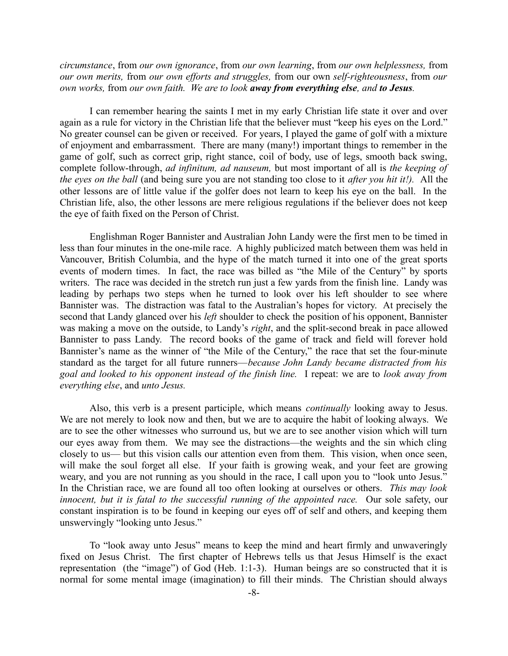*circumstance*, from *our own ignorance*, from *our own learning*, from *our own helplessness,* from *our own merits,* from *our own efforts and struggles,* from our own *self-righteousness*, from *our own works,* from *our own faith. We are to look away from everything else, and to Jesus.*

I can remember hearing the saints I met in my early Christian life state it over and over again as a rule for victory in the Christian life that the believer must "keep his eyes on the Lord." No greater counsel can be given or received. For years, I played the game of golf with a mixture of enjoyment and embarrassment. There are many (many!) important things to remember in the game of golf, such as correct grip, right stance, coil of body, use of legs, smooth back swing, complete follow-through, *ad infinitum, ad nauseum,* but most important of all is *the keeping of the eyes on the ball* (and being sure you are not standing too close to it *after you hit it!).* All the other lessons are of little value if the golfer does not learn to keep his eye on the ball. In the Christian life, also, the other lessons are mere religious regulations if the believer does not keep the eye of faith fixed on the Person of Christ.

Englishman Roger Bannister and Australian John Landy were the first men to be timed in less than four minutes in the one-mile race. A highly publicized match between them was held in Vancouver, British Columbia, and the hype of the match turned it into one of the great sports events of modern times. In fact, the race was billed as "the Mile of the Century" by sports writers. The race was decided in the stretch run just a few yards from the finish line. Landy was leading by perhaps two steps when he turned to look over his left shoulder to see where Bannister was. The distraction was fatal to the Australian's hopes for victory. At precisely the second that Landy glanced over his *left* shoulder to check the position of his opponent, Bannister was making a move on the outside, to Landy's *right*, and the split-second break in pace allowed Bannister to pass Landy. The record books of the game of track and field will forever hold Bannister's name as the winner of "the Mile of the Century," the race that set the four-minute standard as the target for all future runners—*because John Landy became distracted from his goal and looked to his opponent instead of the finish line.* I repeat: we are to *look away from everything else*, and *unto Jesus.*

Also, this verb is a present participle, which means *continually* looking away to Jesus. We are not merely to look now and then, but we are to acquire the habit of looking always. We are to see the other witnesses who surround us, but we are to see another vision which will turn our eyes away from them. We may see the distractions—the weights and the sin which cling closely to us— but this vision calls our attention even from them. This vision, when once seen, will make the soul forget all else. If your faith is growing weak, and your feet are growing weary, and you are not running as you should in the race, I call upon you to "look unto Jesus." In the Christian race, we are found all too often looking at ourselves or others. *This may look innocent, but it is fatal to the successful running of the appointed race.* Our sole safety, our constant inspiration is to be found in keeping our eyes off of self and others, and keeping them unswervingly "looking unto Jesus."

To "look away unto Jesus" means to keep the mind and heart firmly and unwaveringly fixed on Jesus Christ. The first chapter of Hebrews tells us that Jesus Himself is the exact representation (the "image") of God (Heb. 1:1-3). Human beings are so constructed that it is normal for some mental image (imagination) to fill their minds. The Christian should always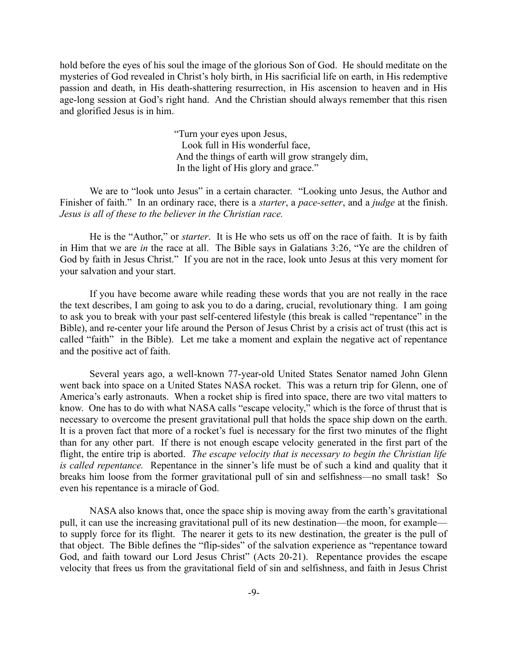hold before the eyes of his soul the image of the glorious Son of God. He should meditate on the mysteries of God revealed in Christ's holy birth, in His sacrificial life on earth, in His redemptive passion and death, in His death-shattering resurrection, in His ascension to heaven and in His age-long session at God's right hand. And the Christian should always remember that this risen and glorified Jesus is in him.

> "Turn your eyes upon Jesus, Look full in His wonderful face, And the things of earth will grow strangely dim, In the light of His glory and grace."

We are to "look unto Jesus" in a certain character. "Looking unto Jesus, the Author and Finisher of faith." In an ordinary race, there is a *starter*, a *pace-setter*, and a *judge* at the finish. *Jesus is all of these to the believer in the Christian race.*

He is the "Author," or *starter*. It is He who sets us off on the race of faith. It is by faith in Him that we are *in* the race at all. The Bible says in Galatians 3:26, "Ye are the children of God by faith in Jesus Christ." If you are not in the race, look unto Jesus at this very moment for your salvation and your start.

If you have become aware while reading these words that you are not really in the race the text describes, I am going to ask you to do a daring, crucial, revolutionary thing. I am going to ask you to break with your past self-centered lifestyle (this break is called "repentance" in the Bible), and re-center your life around the Person of Jesus Christ by a crisis act of trust (this act is called "faith" in the Bible). Let me take a moment and explain the negative act of repentance and the positive act of faith.

Several years ago, a well-known 77-year-old United States Senator named John Glenn went back into space on a United States NASA rocket. This was a return trip for Glenn, one of America's early astronauts. When a rocket ship is fired into space, there are two vital matters to know. One has to do with what NASA calls "escape velocity," which is the force of thrust that is necessary to overcome the present gravitational pull that holds the space ship down on the earth. It is a proven fact that more of a rocket's fuel is necessary for the first two minutes of the flight than for any other part. If there is not enough escape velocity generated in the first part of the flight, the entire trip is aborted. *The escape velocity that is necessary to begin the Christian life is called repentance.* Repentance in the sinner's life must be of such a kind and quality that it breaks him loose from the former gravitational pull of sin and selfishness—no small task! So even his repentance is a miracle of God.

NASA also knows that, once the space ship is moving away from the earth's gravitational pull, it can use the increasing gravitational pull of its new destination—the moon, for example to supply force for its flight. The nearer it gets to its new destination, the greater is the pull of that object. The Bible defines the "flip-sides" of the salvation experience as "repentance toward God, and faith toward our Lord Jesus Christ" (Acts 20-21). Repentance provides the escape velocity that frees us from the gravitational field of sin and selfishness, and faith in Jesus Christ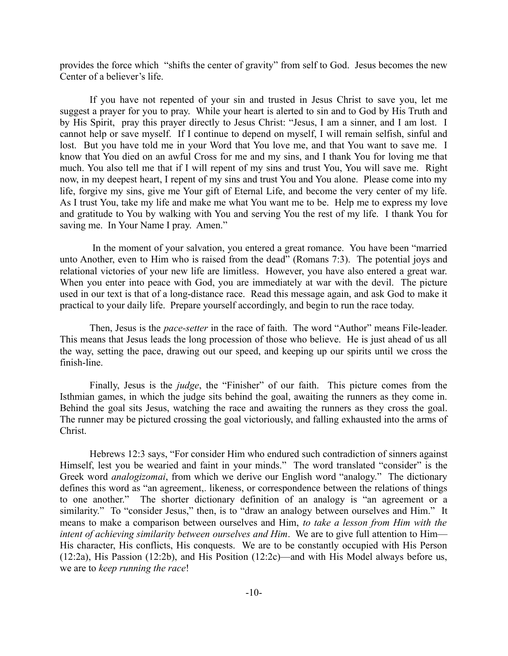provides the force which "shifts the center of gravity" from self to God. Jesus becomes the new Center of a believer's life.

If you have not repented of your sin and trusted in Jesus Christ to save you, let me suggest a prayer for you to pray. While your heart is alerted to sin and to God by His Truth and by His Spirit, pray this prayer directly to Jesus Christ: "Jesus, I am a sinner, and I am lost. I cannot help or save myself. If I continue to depend on myself, I will remain selfish, sinful and lost. But you have told me in your Word that You love me, and that You want to save me. I know that You died on an awful Cross for me and my sins, and I thank You for loving me that much. You also tell me that if I will repent of my sins and trust You, You will save me. Right now, in my deepest heart, I repent of my sins and trust You and You alone. Please come into my life, forgive my sins, give me Your gift of Eternal Life, and become the very center of my life. As I trust You, take my life and make me what You want me to be. Help me to express my love and gratitude to You by walking with You and serving You the rest of my life. I thank You for saving me. In Your Name I pray. Amen."

 In the moment of your salvation, you entered a great romance. You have been "married unto Another, even to Him who is raised from the dead" (Romans 7:3). The potential joys and relational victories of your new life are limitless. However, you have also entered a great war. When you enter into peace with God, you are immediately at war with the devil. The picture used in our text is that of a long-distance race. Read this message again, and ask God to make it practical to your daily life. Prepare yourself accordingly, and begin to run the race today.

Then, Jesus is the *pace-setter* in the race of faith. The word "Author" means File-leader. This means that Jesus leads the long procession of those who believe. He is just ahead of us all the way, setting the pace, drawing out our speed, and keeping up our spirits until we cross the finish-line.

Finally, Jesus is the *judge*, the "Finisher" of our faith. This picture comes from the Isthmian games, in which the judge sits behind the goal, awaiting the runners as they come in. Behind the goal sits Jesus, watching the race and awaiting the runners as they cross the goal. The runner may be pictured crossing the goal victoriously, and falling exhausted into the arms of Christ.

Hebrews 12:3 says, "For consider Him who endured such contradiction of sinners against Himself, lest you be wearied and faint in your minds." The word translated "consider" is the Greek word *analogizomai*, from which we derive our English word "analogy." The dictionary defines this word as "an agreement,. likeness, or correspondence between the relations of things to one another." The shorter dictionary definition of an analogy is "an agreement or a similarity." To "consider Jesus," then, is to "draw an analogy between ourselves and Him." It means to make a comparison between ourselves and Him, *to take a lesson from Him with the intent of achieving similarity between ourselves and Him*. We are to give full attention to Him— His character, His conflicts, His conquests. We are to be constantly occupied with His Person (12:2a), His Passion (12:2b), and His Position (12:2c)—and with His Model always before us, we are to *keep running the race*!